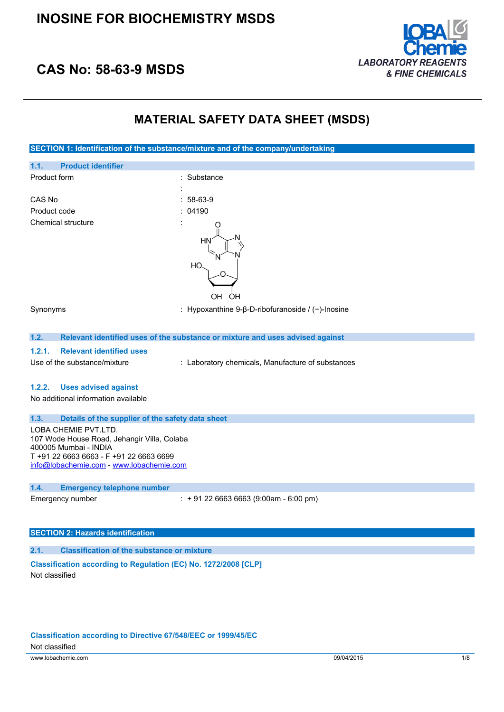

## **CAS No: 58-63-9 MSDS**

### **MATERIAL SAFETY DATA SHEET (MSDS)**

| SECTION 1: Identification of the substance/mixture and of the company/undertaking                                                                                                   |                                                                               |
|-------------------------------------------------------------------------------------------------------------------------------------------------------------------------------------|-------------------------------------------------------------------------------|
| 1.1.<br><b>Product identifier</b>                                                                                                                                                   |                                                                               |
| Product form                                                                                                                                                                        | Substance                                                                     |
|                                                                                                                                                                                     |                                                                               |
| CAS No                                                                                                                                                                              | 58-63-9                                                                       |
| Product code                                                                                                                                                                        | 04190                                                                         |
| <b>Chemical structure</b>                                                                                                                                                           | ΗN<br>HО<br>OH<br>OH                                                          |
| Synonyms                                                                                                                                                                            | : Hypoxanthine 9- $\beta$ -D-ribofuranoside / (-)-Inosine                     |
| 1.2.                                                                                                                                                                                | Relevant identified uses of the substance or mixture and uses advised against |
| 1.2.1.<br><b>Relevant identified uses</b>                                                                                                                                           |                                                                               |
| Use of the substance/mixture                                                                                                                                                        | : Laboratory chemicals, Manufacture of substances                             |
| 1.2.2.<br><b>Uses advised against</b>                                                                                                                                               |                                                                               |
| No additional information available                                                                                                                                                 |                                                                               |
| 1.3.<br>Details of the supplier of the safety data sheet                                                                                                                            |                                                                               |
| LOBA CHEMIE PVT.LTD.<br>107 Wode House Road, Jehangir Villa, Colaba<br>400005 Mumbai - INDIA<br>T +91 22 6663 6663 - F +91 22 6663 6699<br>info@lobachemie.com - www.lobachemie.com |                                                                               |
| 1.4.<br><b>Emergency telephone number</b>                                                                                                                                           |                                                                               |
| Emergency number                                                                                                                                                                    | $: +912266636663(9:00am - 6:00 pm)$                                           |
| <b>SECTION 2: Hazards identification</b>                                                                                                                                            |                                                                               |
| <b>Classification of the substance or mixture</b><br>2.1.                                                                                                                           |                                                                               |
| Classification according to Regulation (EC) No. 1272/2008 [CLP]                                                                                                                     |                                                                               |

Not classified

www.lobachemie.com 09/04/2015 1/8 **Classification according to Directive 67/548/EEC or 1999/45/EC** Not classified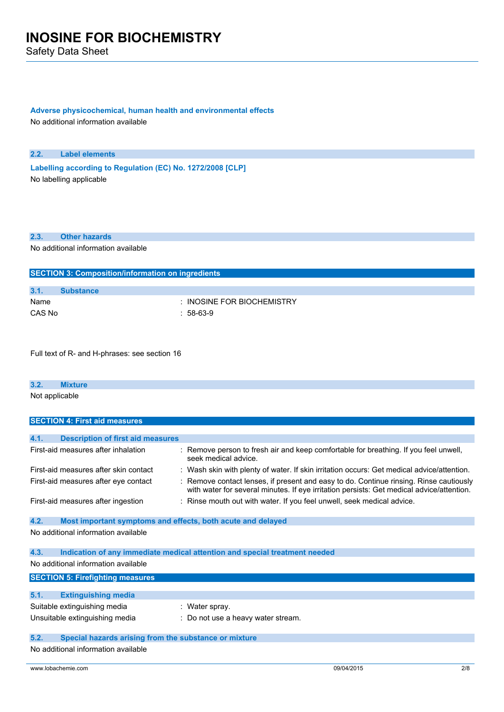Safety Data Sheet

#### **Adverse physicochemical, human health and environmental effects**

No additional information available

#### **2.2. Label elements**

**Labelling according to** Regulation (EC) No. 1272/2008 [CLP] No labelling applicable

### **2.3. Other hazards**

No additional information available

| <b>SECTION 3: Composition/information on ingredients</b> |                  |                            |
|----------------------------------------------------------|------------------|----------------------------|
|                                                          |                  |                            |
| 3.1.                                                     | <b>Substance</b> |                            |
| Name                                                     |                  | : INOSINE FOR BIOCHEMISTRY |
| CAS No                                                   |                  | $: 58-63-9$                |

Full text of R- and H-phrases: see section 16

#### **3.2. Mixture**

Not applicable

| <b>SECTION 4: First aid measures</b>                                |                                                                                                                                                                                     |
|---------------------------------------------------------------------|-------------------------------------------------------------------------------------------------------------------------------------------------------------------------------------|
|                                                                     |                                                                                                                                                                                     |
| 4.1.<br><b>Description of first aid measures</b>                    |                                                                                                                                                                                     |
| First-aid measures after inhalation                                 | : Remove person to fresh air and keep comfortable for breathing. If you feel unwell,<br>seek medical advice.                                                                        |
| First-aid measures after skin contact                               | : Wash skin with plenty of water. If skin irritation occurs: Get medical advice/attention.                                                                                          |
| First-aid measures after eye contact                                | : Remove contact lenses, if present and easy to do. Continue rinsing. Rinse cautiously<br>with water for several minutes. If eye irritation persists: Get medical advice/attention. |
| First-aid measures after ingestion                                  | : Rinse mouth out with water. If you feel unwell, seek medical advice.                                                                                                              |
| 4.2.<br>Most important symptoms and effects, both acute and delayed |                                                                                                                                                                                     |
| No additional information available                                 |                                                                                                                                                                                     |
| 4.3.                                                                | Indication of any immediate medical attention and special treatment needed                                                                                                          |
| No additional information available                                 |                                                                                                                                                                                     |
| <b>SECTION 5: Firefighting measures</b>                             |                                                                                                                                                                                     |
|                                                                     |                                                                                                                                                                                     |
| 5.1.<br><b>Extinguishing media</b>                                  |                                                                                                                                                                                     |
| Suitable extinguishing media                                        | : Water spray.                                                                                                                                                                      |
| Unsuitable extinguishing media                                      | : Do not use a heavy water stream.                                                                                                                                                  |
| 5.2.<br>Special hazards arising from the substance or mixture       |                                                                                                                                                                                     |
| No additional information available                                 |                                                                                                                                                                                     |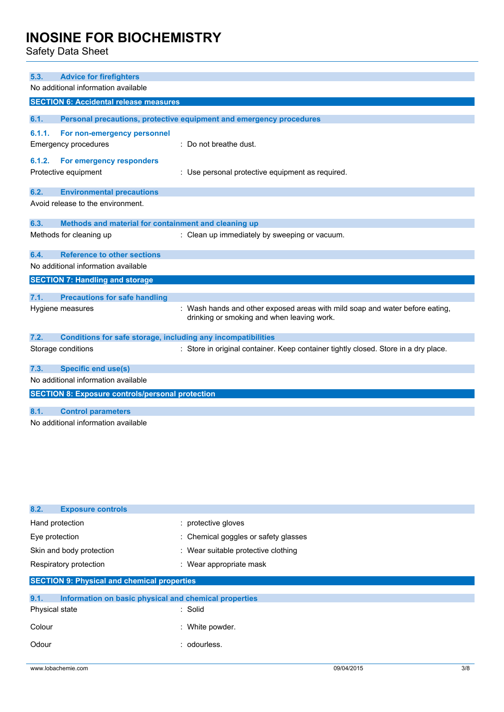Safety Data Sheet

| 5.3.   | <b>Advice for firefighters</b>                                      |                                                                                                                            |
|--------|---------------------------------------------------------------------|----------------------------------------------------------------------------------------------------------------------------|
|        | No additional information available                                 |                                                                                                                            |
|        | <b>SECTION 6: Accidental release measures</b>                       |                                                                                                                            |
|        |                                                                     |                                                                                                                            |
| 6.1.   |                                                                     | Personal precautions, protective equipment and emergency procedures                                                        |
| 6.1.1. | For non-emergency personnel                                         |                                                                                                                            |
|        | <b>Emergency procedures</b>                                         | : Do not breathe dust.                                                                                                     |
| 6.1.2. | For emergency responders                                            |                                                                                                                            |
|        | Protective equipment                                                | : Use personal protective equipment as required.                                                                           |
|        |                                                                     |                                                                                                                            |
| 6.2.   | <b>Environmental precautions</b>                                    |                                                                                                                            |
|        | Avoid release to the environment.                                   |                                                                                                                            |
| 6.3.   | Methods and material for containment and cleaning up                |                                                                                                                            |
|        | Methods for cleaning up                                             | : Clean up immediately by sweeping or vacuum.                                                                              |
| 6.4.   | <b>Reference to other sections</b>                                  |                                                                                                                            |
|        | No additional information available                                 |                                                                                                                            |
|        | <b>SECTION 7: Handling and storage</b>                              |                                                                                                                            |
|        |                                                                     |                                                                                                                            |
| 7.1.   | <b>Precautions for safe handling</b>                                |                                                                                                                            |
|        | Hygiene measures                                                    | : Wash hands and other exposed areas with mild soap and water before eating,<br>drinking or smoking and when leaving work. |
| 7.2.   | <b>Conditions for safe storage, including any incompatibilities</b> |                                                                                                                            |
|        | Storage conditions                                                  | : Store in original container. Keep container tightly closed. Store in a dry place.                                        |
| 7.3.   | <b>Specific end use(s)</b>                                          |                                                                                                                            |
|        | No additional information available                                 |                                                                                                                            |
|        | <b>SECTION 8: Exposure controls/personal protection</b>             |                                                                                                                            |
| 8.1.   | <b>Control parameters</b>                                           |                                                                                                                            |
|        | No additional information available                                 |                                                                                                                            |
|        |                                                                     |                                                                                                                            |

| 8.2.<br><b>Exposure controls</b>                              |                                      |
|---------------------------------------------------------------|--------------------------------------|
| Hand protection                                               | : protective gloves                  |
| Eye protection                                                | : Chemical goggles or safety glasses |
| Skin and body protection                                      | : Wear suitable protective clothing  |
| Respiratory protection                                        | : Wear appropriate mask              |
| <b>SECTION 9: Physical and chemical properties</b>            |                                      |
| Information on basic physical and chemical properties<br>9.1. |                                      |
| Physical state                                                | : Solid                              |
| Colour                                                        | : White powder.                      |
| Odour                                                         | : odourless.                         |
|                                                               |                                      |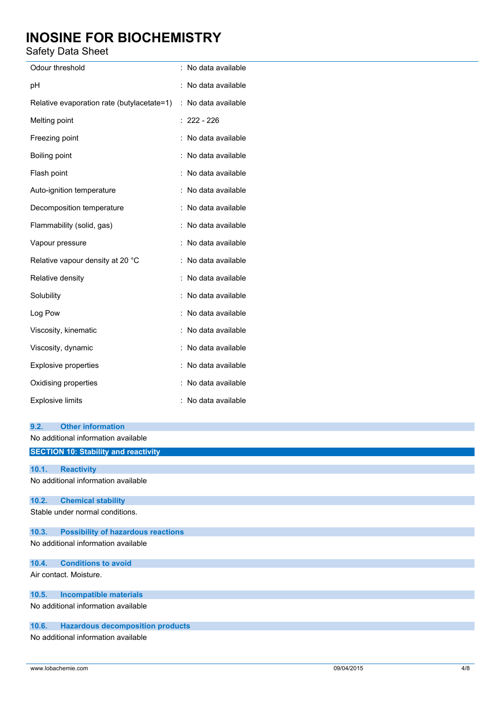Safety Data Sheet

| , <i></i>                                                      |                     |
|----------------------------------------------------------------|---------------------|
| Odour threshold                                                | : No data available |
| pH                                                             | : No data available |
| Relative evaporation rate (butylacetate=1) : No data available |                     |
| Melting point                                                  | $: 222 - 226$       |
| Freezing point                                                 | : No data available |
| Boiling point                                                  | : No data available |
| Flash point                                                    | : No data available |
| Auto-ignition temperature                                      | : No data available |
| Decomposition temperature                                      | : No data available |
| Flammability (solid, gas)                                      | : No data available |
| Vapour pressure                                                | : No data available |
| Relative vapour density at 20 °C                               | : No data available |
| Relative density                                               | : No data available |
| Solubility                                                     | : No data available |
| Log Pow                                                        | : No data available |
| Viscosity, kinematic                                           | : No data available |
| Viscosity, dynamic                                             | : No data available |
| <b>Explosive properties</b>                                    | : No data available |
| Oxidising properties                                           | : No data available |
| <b>Explosive limits</b>                                        | : No data available |
| 9.2.<br><b>Other information</b>                               |                     |
| No additional information available                            |                     |
| <b>SECTION 10: Stability and reactivity</b>                    |                     |
|                                                                |                     |
| 10.1.<br><b>Reactivity</b>                                     |                     |
| No additional information available                            |                     |
| 10.2.<br><b>Chemical stability</b>                             |                     |
| Stable under normal conditions.                                |                     |
| <b>Possibility of hazardous reactions</b><br>10.3.             |                     |
| No additional information available                            |                     |
| <b>Conditions to avoid</b><br>10.4.                            |                     |
| Air contact. Moisture.                                         |                     |
| <b>Incompatible materials</b><br>10.5.                         |                     |
| No additional information available                            |                     |
| <b>Hazardous decomposition products</b><br>10.6.               |                     |

No additional information available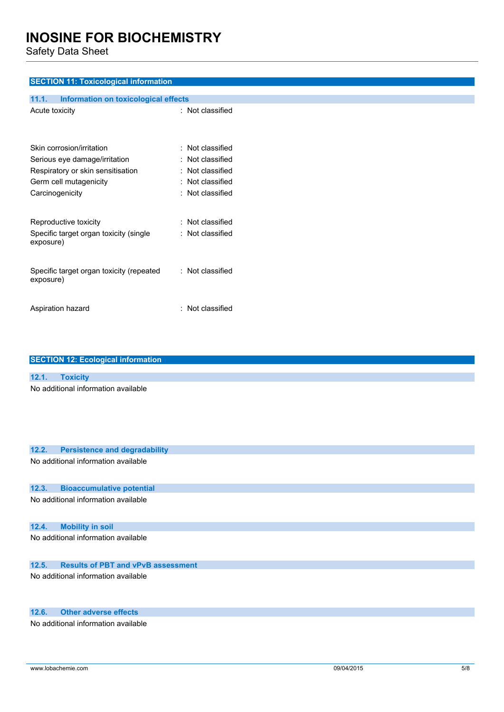Safety Data Sheet

### **SECTION 11: Toxicological information**

| <b>Information on toxicological effects</b><br>11.1.       |                                                    |
|------------------------------------------------------------|----------------------------------------------------|
| Acute toxicity                                             | : Not classified                                   |
| Skin corrosion/irritation<br>Serious eye damage/irritation | $\colon$ Not classified<br>$\colon$ Not classified |
| Respiratory or skin sensitisation                          | $\colon$ Not classified                            |
| Germ cell mutagenicity                                     | : Not classified                                   |
| Carcinogenicity                                            | $\colon$ Not classified                            |
| Reproductive toxicity                                      | $\colon$ Not classified                            |
| Specific target organ toxicity (single<br>exposure)        | : Not classified                                   |
| Specific target organ toxicity (repeated<br>exposure)      | : Not classified                                   |
| Aspiration hazard                                          | : Not classified                                   |

| <b>SECTION 12: Ecological information</b>          |
|----------------------------------------------------|
|                                                    |
| 12.1.<br><b>Toxicity</b>                           |
| No additional information available                |
| 12.2.<br><b>Persistence and degradability</b>      |
| No additional information available                |
| <b>Bioaccumulative potential</b><br>12.3.          |
| No additional information available                |
| 12.4.<br><b>Mobility in soil</b>                   |
| No additional information available                |
| <b>Results of PBT and vPvB assessment</b><br>12.5. |
| No additional information available                |

### **12.6. Other adverse effects**

No additional information available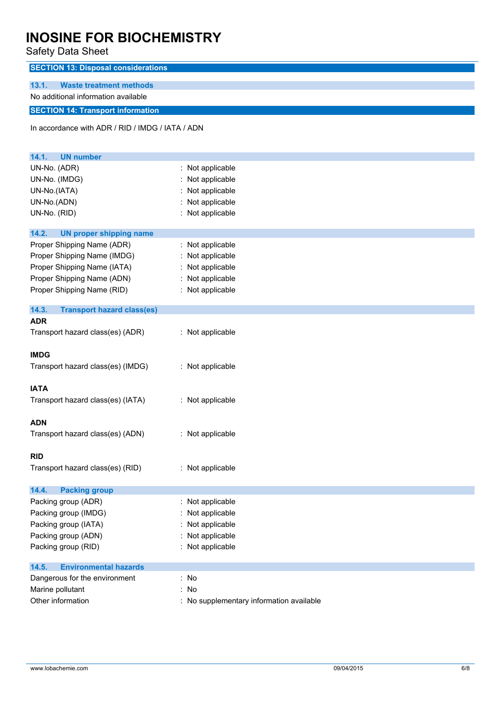Safety Data Sheet

| <b>SECTION 13: Disposal considerations</b>       |                                          |
|--------------------------------------------------|------------------------------------------|
| 13.1.<br><b>Waste treatment methods</b>          |                                          |
| No additional information available              |                                          |
| <b>SECTION 14: Transport information</b>         |                                          |
|                                                  |                                          |
| In accordance with ADR / RID / IMDG / IATA / ADN |                                          |
|                                                  |                                          |
| 14.1.<br><b>UN number</b>                        |                                          |
| UN-No. (ADR)                                     | : Not applicable                         |
| UN-No. (IMDG)                                    | : Not applicable                         |
| UN-No.(IATA)                                     | Not applicable                           |
| UN-No.(ADN)                                      | : Not applicable                         |
| UN-No. (RID)                                     | : Not applicable                         |
|                                                  |                                          |
| 14.2.<br><b>UN proper shipping name</b>          |                                          |
| Proper Shipping Name (ADR)                       | : Not applicable                         |
| Proper Shipping Name (IMDG)                      | Not applicable                           |
| Proper Shipping Name (IATA)                      | Not applicable                           |
| Proper Shipping Name (ADN)                       | : Not applicable                         |
| Proper Shipping Name (RID)                       | : Not applicable                         |
|                                                  |                                          |
| 14.3.<br><b>Transport hazard class(es)</b>       |                                          |
| <b>ADR</b>                                       |                                          |
| Transport hazard class(es) (ADR)                 | : Not applicable                         |
|                                                  |                                          |
| <b>IMDG</b>                                      |                                          |
| Transport hazard class(es) (IMDG)                | : Not applicable                         |
|                                                  |                                          |
| <b>IATA</b>                                      |                                          |
| Transport hazard class(es) (IATA)                | : Not applicable                         |
|                                                  |                                          |
| <b>ADN</b>                                       |                                          |
| Transport hazard class(es) (ADN)                 | : Not applicable                         |
| <b>RID</b>                                       |                                          |
| Transport hazard class(es) (RID)                 | : Not applicable                         |
|                                                  |                                          |
| 14.4.<br><b>Packing group</b>                    |                                          |
| Packing group (ADR)                              | : Not applicable                         |
| Packing group (IMDG)                             | Not applicable                           |
| Packing group (IATA)                             | : Not applicable                         |
| Packing group (ADN)                              | Not applicable                           |
| Packing group (RID)                              | : Not applicable                         |
|                                                  |                                          |
| <b>Environmental hazards</b><br>14.5.            |                                          |
| Dangerous for the environment                    | : No                                     |
| Marine pollutant                                 | : No                                     |
| Other information                                | : No supplementary information available |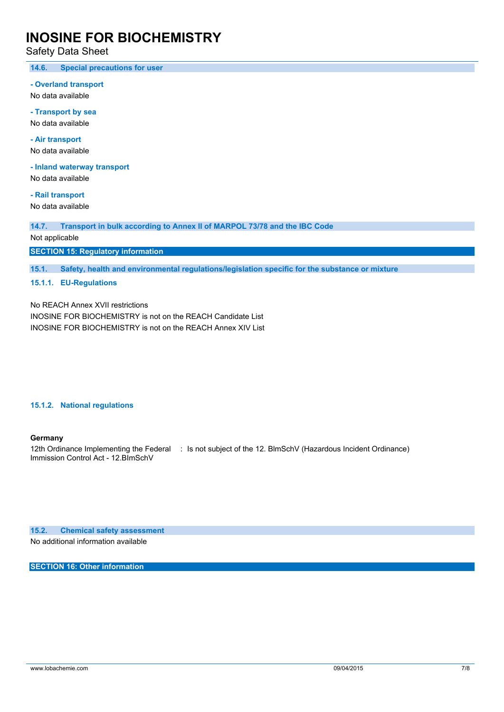Safety Data Sheet

**14.6. Special precautions for user**

**- Overland transport**

No data available

**- Transport by sea** No data available

**- Air transport** No data available

**- Inland waterway transport**

No data available

**- Rail transport** No data available

**14.7. Transport in bulk according to Annex II of MARPOL 73/78 and the IBC Code**

Not applicable

**SECTION 15: Regulatory information**

**15.1. Safety, health and environmental regulations/legislation specific for the substance or mixture**

**15.1.1. EU-Regulations**

No REACH Annex XVII restrictions

INOSINE FOR BIOCHEMISTRY is not on the REACH Candidate List INOSINE FOR BIOCHEMISTRY is not on the REACH Annex XIV List

#### **15.1.2. National regulations**

#### **Germany**

12th Ordinance Implementing the Federal : Is not subject of the 12. BlmSchV (Hazardous Incident Ordinance) Immission Control Act - 12.BImSchV

**15.2. Chemical safety assessment**

No additional information available

**SECTION 16: Other information**